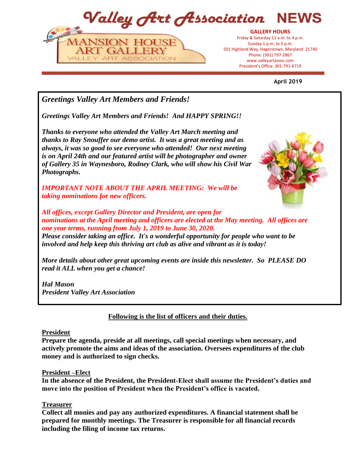Valley Art Association



President's Office: 301-797-6719 President's Office: 301-791-6719**GALLERY HOURS** Friday & Saturday 11 a.m. to 4 p.m. Sunday 1 p.m. to 5 p.m. 501 Highland Way, Hagerstown, Maryland 21740 Phone: (301) 797-2867 www.valleyartassoc.com

**April 2019**

*Greetings Valley Art Members and Friends!*

*Greetings Valley Art Members and Friends! And HAPPY SPRING!!*

*Thanks to everyone who attended the Valley Art March meeting and thanks to Ray Snouffer our demo artist. It was a great meeting and as always, it was so good to see everyone who attended! Our next meeting is on April 24th and our featured artist will be photographer and owner of Gallery 35 in Waynesboro, Rodney Clark, who will show his Civil War Photographs.*

*IMPORTANT NOTE ABOUT THE APRIL MEETING: We will be taking nominations for new officers.* 



*All offices, except Gallery Director and President, are open for nominations at the April meeting and officers are elected at the May meeting. All offices are one year terms, running from July 1, 2019 to June 30, 2020. Please consider taking an office. It's a wonderful opportunity for people who want to be involved and help keep this thriving art club as alive and vibrant as it is today!*

*More details about other great upcoming events are inside this newsletter. So PLEASE DO read it ALL when you get a chance!* 

*Hal Mason President Valley Art Association* 

**Following is the list of officers and their duties.**

# **President**

**Prepare the agenda, preside at all meetings, call special meetings when necessary, and actively promote the aims and ideas of the association. Oversees expenditures of the club money and is authorized to sign checks.**

# **President –Elect**

**In the absence of the President, the President-Elect shall assume the President's duties and move into the position of President when the President's office is vacated.**

# **Treasurer**

**Collect all monies and pay any authorized expenditures. A financial statement shall be prepared for monthly meetings. The Treasurer is responsible for all financial records including the filing of income tax returns.**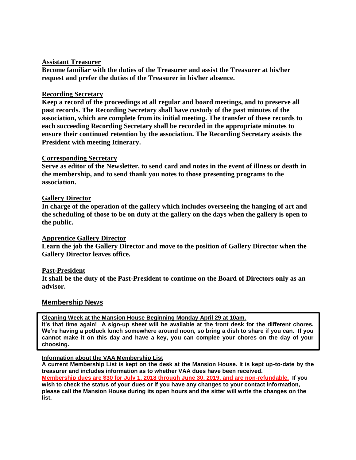# **Assistant Treasurer**

**Become familiar with the duties of the Treasurer and assist the Treasurer at his/her request and prefer the duties of the Treasurer in his/her absence.**

# **Recording Secretary**

**Keep a record of the proceedings at all regular and board meetings, and to preserve all past records. The Recording Secretary shall have custody of the past minutes of the association, which are complete from its initial meeting. The transfer of these records to each succeeding Recording Secretary shall be recorded in the appropriate minutes to ensure their continued retention by the association. The Recording Secretary assists the President with meeting Itinerary.**

# **Corresponding Secretary**

**Serve as editor of the Newsletter, to send card and notes in the event of illness or death in the membership, and to send thank you notes to those presenting programs to the association.**

# **Gallery Director**

**In charge of the operation of the gallery which includes overseeing the hanging of art and the scheduling of those to be on duty at the gallery on the days when the gallery is open to the public.**

# **Apprentice Gallery Director**

**Learn the job the Gallery Director and move to the position of Gallery Director when the Gallery Director leaves office.**

# **Past-President**

**It shall be the duty of the Past-President to continue on the Board of Directors only as an advisor.**

# **Membership News**

**Cleaning Week at the Mansion House Beginning Monday April 29 at 10am.**

**It's that time again! A sign-up sheet will be available at the front desk for the different chores. We're having a potluck lunch somewhere around noon, so bring a dish to share if you can. If you cannot make it on this day and have a key, you can complee your chores on the day of your choosing.**

# **Information about the VAA Membership List**

**A current Membership List is kept on the desk at the Mansion House. It is kept up-to-date by the treasurer and includes information as to whether VAA dues have been received. Membership dues are \$30 for July 1, 2018 through June 30, 2019, and are non-refundable. If you wish to check the status of your dues or if you have any changes to your contact information, please call the Mansion House during its open hours and the sitter will write the changes on the list.**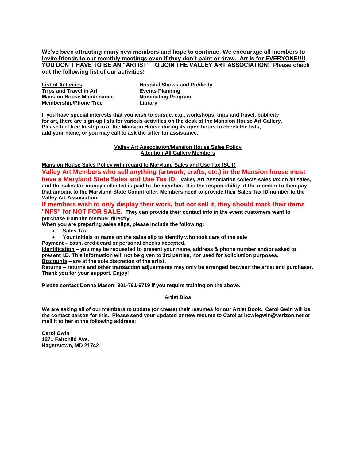**We've been attracting many new members and hope to continue. We encourage all members to invite friends to our monthly meetings even if they don't paint or draw. Art is for EVERYONE!!!I YOU DON'T HAVE TO BE AN "ARTIST" TO JOIN THE VALLEY ART ASSOCIATION! Please check out the following list of our activities!**

| <b>List of Activities</b>        |  |
|----------------------------------|--|
| <b>Trips and Travel in Art</b>   |  |
| <b>Mansion House Maintenance</b> |  |
| <b>Membership/Phone Tree</b>     |  |

**Hospital Shows and Publicity Events Planning Nominating Program Library**

**If you have special interests that you wish to pursue, e.g., workshops, trips and travel, publicity for art, there are sign-up lists for various activities on the desk at the Mansion House Art Gallery. Please feel free to stop in at the Mansion House during its open hours to check the lists, add your name, or you may call to ask the sitter for assistance.**

#### **Valley Art Association/Mansion House Sales Policy Attention All Gallery Members**

**Mansion House Sales Policy with regard to Maryland Sales and Use Tax (SUT)**

**Valley Art Members who sell anything (artwork, crafts, etc.) in the Mansion house must have a Maryland State Sales and Use Tax ID. Valley Art Association collects sales tax on all sales, and the sales tax money collected is paid to the member. It is the responsibility of the member to then pay that amount to the Maryland State Comptroller. Members need to provide their Sales Tax ID number to the Valley Art Association.** 

**If members wish to only display their work, but not sell it, they should mark their items "NFS" for NOT FOR SALE. They can provide their contact info in the event customers want to purchase from the member directly.** 

**When you are preparing sales slips, please include the following:**

- **Sales Tax**
- **Your Initials or name on the sales slip to identify who took care of the sale**
- **Payment – cash, credit card or personal checks accepted.**

**Identification – you may be requested to present your name, address & phone number and/or asked to present I.D. This information will not be given to 3rd parties, nor used for solicitation purposes. Discounts – are at the sole discretion of the artist.**

**Returns – returns and other transaction adjustments may only be arranged between the artist and purchaser. Thank you for your support. Enjoy!**

**Please contact Donna Mason: 301-791-6719 if you require training on the above.**

#### **Artist Bios**

**We are asking all of our members to update (or create) their resumes for our Artist Book. Carol Gwin will be the contact person for this. Please send your updated or new resume to Carol at howiegwin@verizon.net or mail it to her at the following address:**

**Carol Gwin 1271 Fairchild Ave. Hagerstown, MD 21742**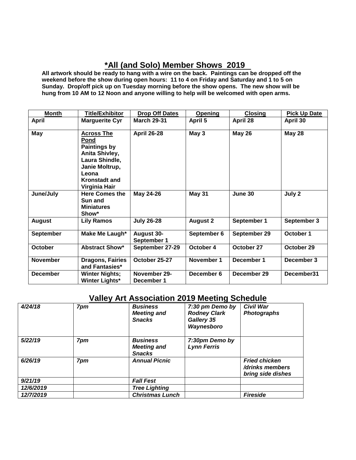# **\*All (and Solo) Member Shows 2019**

**All artwork should be ready to hang with a wire on the back. Paintings can be dropped off the weekend before the show during open hours: 11 to 4 on Friday and Saturday and 1 to 5 on Sunday. Drop/off pick up on Tuesday morning before the show opens. The new show will be hung from 10 AM to 12 Noon and anyone willing to help will be welcomed with open arms.** 

| <b>Month</b>     | <b>Title/Exhibitor</b>                                                                                                                                   | <b>Drop Off Dates</b>      | <b>Opening</b>  | <b>Closing</b> | <b>Pick Up Date</b> |
|------------------|----------------------------------------------------------------------------------------------------------------------------------------------------------|----------------------------|-----------------|----------------|---------------------|
| <b>April</b>     | <b>Marguerite Cyr</b>                                                                                                                                    | <b>March 29-31</b>         | April 5         | April 28       | April 30            |
| May              | <b>Across The</b><br>Pond<br><b>Paintings by</b><br>Anita Shivley,<br>Laura Shindle,<br>Janie Moltrup,<br>Leona<br><b>Kronstadt and</b><br>Virginia Hair | <b>April 26-28</b>         | May 3           | <b>May 26</b>  | <b>May 28</b>       |
| June/July        | <b>Here Comes the</b><br>Sun and<br><b>Miniatures</b><br>Show*                                                                                           | May 24-26                  | <b>May 31</b>   | June 30        | July 2              |
| <b>August</b>    | <b>Lily Ramos</b>                                                                                                                                        | <b>July 26-28</b>          | <b>August 2</b> | September 1    | September 3         |
| <b>September</b> | Make Me Laugh*                                                                                                                                           | August 30-<br>September 1  | September 6     | September 29   | October 1           |
| October          | <b>Abstract Show*</b>                                                                                                                                    | September 27-29            | October 4       | October 27     | October 29          |
| <b>November</b>  | <b>Dragons, Fairies</b><br>and Fantasies*                                                                                                                | October 25-27              | November 1      | December 1     | December 3          |
| <b>December</b>  | <b>Winter Nights;</b><br>Winter Lights*                                                                                                                  | November 29-<br>December 1 | December 6      | December 29    | December31          |

# **Valley Art Association 2019 Meeting Schedule**

| 4/24/18   | 7pm | <b>Business</b><br><b>Meeting and</b><br><b>Snacks</b> | 7:30 pm Demo by<br><b>Rodney Clark</b><br>Gallery 35<br>Waynesboro | <b>Civil War</b><br><b>Photographs</b>                       |
|-----------|-----|--------------------------------------------------------|--------------------------------------------------------------------|--------------------------------------------------------------|
| 5/22/19   | 7pm | <b>Business</b><br><b>Meeting and</b><br><b>Snacks</b> | 7:30pm Demo by<br><b>Lynn Ferris</b>                               |                                                              |
| 6/26/19   | 7pm | <b>Annual Picnic</b>                                   |                                                                    | <b>Fried chicken</b><br>/drinks members<br>bring side dishes |
| 9/21/19   |     | <b>Fall Fest</b>                                       |                                                                    |                                                              |
| 12/6/2019 |     | <b>Tree Lighting</b>                                   |                                                                    |                                                              |
| 12/7/2019 |     | <b>Christmas Lunch</b>                                 |                                                                    | <b>Fireside</b>                                              |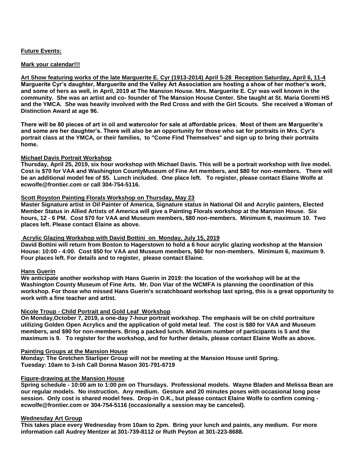# **Future Events:**

# **Mark your calendar!!!**

**Art Show featuring works of the late Marguerite E. Cyr (1913-2014) April 5-28 Reception Saturday, April 6, 11-4 Marguerite Cyr's daughter, Marguerite and the Valley Art Association are hosting a show of her mother's work, and some of hers as well, in April, 2019 at The Mansion House. Mrs. Marguerite E. Cyr was well known in the community. She was an artist and co- founder of The Mansion House Center. She taught at St. Maria Goretti HS and the YMCA. She was heavily involved with the Red Cross and with the Girl Scouts. She received a Woman of Distinction Award at age 96.** 

**There will be 80 pieces of art in oil and watercolor for sale at affordable prices. Most of them are Marguerite's and some are her daughter's. There will also be an opportunity for those who sat for portraits in Mrs. Cyr's portrait class at the YMCA, or their families, to "Come Find Themselves" and sign up to bring their portraits home.** 

# **Michael Davis Portrait Workshop**

**Thursday, April 25, 2019, six hour workshop with Michael Davis. This will be a portrait workshop with live model. Cost is \$70 for VAA and Washington CountyMuseum of Fine Art members, and \$80 for non-members. There will be an additional model fee of \$5. Lunch included. One place left. To register, please contact Elaine Wolfe at ecwolfe@frontier.com or call 304-754-5116.** 

# **Scott Royston Painting Florals Workshop on Thursday, May 23**

**Master Signature artist in Oil Painter of America, Signature status in National Oil and Acrylic painters, Elected Member Status in Allied Artists of America will give a Painting Florals workshop at the Mansion House. Six hours, 12 - 6 PM. Cost \$70 for VAA and Museum members, \$80 non-members. Minimum 6, maximum 10. Two places left. Please contact Elaine as above.**

# **Acrylic Glazing Workshop with David Bottini on Monday, July 15, 2019**

**David Bottini will return from Boston to Hagerstown to hold a 6 hour acrylic glazing workshop at the Mansion House: 10:00 - 4:00. Cost \$50 for VAA and Museum members, \$60 for non-members. Minimum 6, maximum 9. Four places left. For details and to register, please contact Elaine.**

# **Hans Guerin**

**We anticipate another workshop with Hans Guerin in 2019: the location of the workshop will be at the Washington County Museum of Fine Arts. Mr. Don Viar of the WCMFA is planning the coordination of this workshop. For those who missed Hans Guerin's scratchboard workshop last spring, this is a great opportunity to work with a fine teacher and artist.**

# **Nicole Troup - Child Portrait and Gold Leaf Workshop**

**On Monday,October 7, 2019, a one-day 7-hour portrait workshop. The emphasis will be on child portraiture utilizing Golden Open Acrylics and the application of gold metal leaf. The cost is \$80 for VAA and Museum members, and \$90 for non-members. Bring a packed lunch. Minimum number of participants is 5 and the maximum is 9. To register for the workshop, and for further details, please contact Elaine Wolfe as above.**

#### **Painting Groups at the Mansion House**

**Monday: The Gretchen Starliper Group will not be meeting at the Mansion House until Spring. Tuesday: 10am to 3-ish Call Donna Mason 301-791-6719**

# **Figure-drawing at the Mansion House**

**Spring schedule - 10:00 am to 1:00 pm on Thursdays. Professional models. Wayne Bladen and Melissa Bean are our regular models. No instruction. Any medium. Gesture and 20 minutes poses with occasional long pose session. Only cost is shared model fees. Drop-in O.K., but please contact Elaine Wolfe to confirm coming ecwolfe@frontier.com or 304-754-5116 (occasionally a session may be canceled).**

#### **Wednesday Art Group**

**This takes place every Wednesday from 10am to 2pm. Bring your lunch and paints, any medium. For more information call Audrey Mentzer at 301-739-8112 or Ruth Peyton at 301-223-8688.**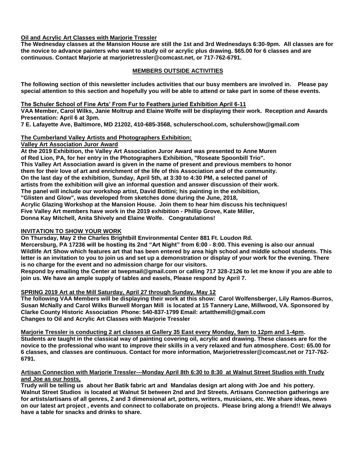# **Oil and Acrylic Art Classes with Marjorie Tressler**

**The Wednesday classes at the Mansion House are still the 1st and 3rd Wednesdays 6:30-9pm. All classes are for the novice to advance painters who want to study oil or acrylic plus drawing. \$65.00 for 6 classes and are continuous. Contact Marjorie at marjorietressler@comcast.net, or 717-762-6791.**

# **MEMBERS OUTSIDE ACTIVITIES**

**The following section of this newsletter includes activities that our busy members are involved in. Please pay special attention to this section and hopefully you will be able to attend or take part in some of these events.**

#### **The Schuler School of Fine Arts' From Fur to Feathers juried Exhibition April 6-11**

**VAA Member, Carol Wilks, Janie Moltrup and Elaine Wolfe will be displaying their work. Reception and Awards Presentation: April 6 at 3pm.** 

**7 E. Lafayette Ave, Baltimore, MD 21202, 410-685-3568, schulerschool.com, schulershow@gmail.com**

# **The Cumberland Valley Artists and Photographers Exhibition:**

# **Valley Art Association Juror Award**

**At the 2019 Exhibition, the Valley Art Association Juror Award was presented to Anne Muren of Red Lion, PA, for her entry in the Photographers Exhibition, "Roseate Spoonbill Trio". This Valley Art Association award is given in the name of present and previous members to honor them for their love of art and enrichment of the life of this Association and of the community. On the last day of the exhibition, Sunday, April 5th, at 3:30 to 4:30 PM, a selected panel of artists from the exhibition will give an informal question and answer discussion of their work. The panel will include our workshop artist, David Bottini; his painting in the exhibition, "Glisten and Glow", was developed from sketches done during the June, 2018, Acrylic Glazing Workshop at the Mansion House. Join them to hear him discuss his techniques! Five Valley Art members have work in the 2019 exhibition - Phillip Grove, Kate Miller, Donna Kay Mitchell, Anita Shively and Elaine Wolfe. Congratulations!**

# **INVITATION TO SHOW YOUR WORK**

**On Thursday, May 2 the Charles Brightbill Environmental Center 881 Ft. Loudon Rd.** 

**Mercersburg, PA 17236 will be hosting its 2nd "Art Night" from 6:00 - 8:00. This evening is also our annual Wildlife Art Show which features art that has been entered by area high school and middle school students. This letter is an invitation to you to join us and set up a demonstration or display of your work for the evening. There is no charge for the event and no admission charge for our visitors.**

**Respond by emailing the Center at twepmail@gmail.com or calling 717 328-2126 to let me know if you are able to join us. We have an ample supply of tables and easels, Please respond by April 7.**

# **SPRING 2019 Art at the Mill Saturday, April 27 through Sunday, May 12**

**The following VAA Members will be displaying their work at this show: Carol Wolfensberger, Lily Ramos-Burros, Susan McNally and Carol Wilks Burwell Morgan Mill is located at 15 Tannery Lane, Millwood, VA. Sponsored by Clarke County Historic Association Phone: 540-837-1799 Email: artatthemill@gmail.com Changes to Oil and Acrylic Art Classes with Marjorie Tressler**

**Marjorie Tressler is conducting 2 art classes at Gallery 35 East every Monday, 9am to 12pm and 1-4pm. Students are taught in the classical way of painting covering oil, acrylic and drawing. These classes are for the novice to the professional who want to improve their skills in a very relaxed and fun atmosphere. Cost: 65.00 for 6 classes, and classes are continuous. Contact for more information, Marjorietressler@comcast.net or 717-762- 6791.** 

#### **Artisan Connection with Marjorie Tressler---Monday April 8th 6:30 to 8:30 at Walnut Street Studios with Trudy and Joe as our hosts,**

**Trudy will be telling us about her Batik fabric art and Mandalas design art along with Joe and his pottery. Walnut Street Studios is located at Walnut St between 2nd and 3rd Streets. Artisans Connection gatherings are for artists/artisans of all genres, 2 and 3 dimensional art, potters, writers, musicians, etc. We share ideas, news on our latest art project , events and connect to collaborate on projects. Please bring along a friend!! We always have a table for snacks and drinks to share.**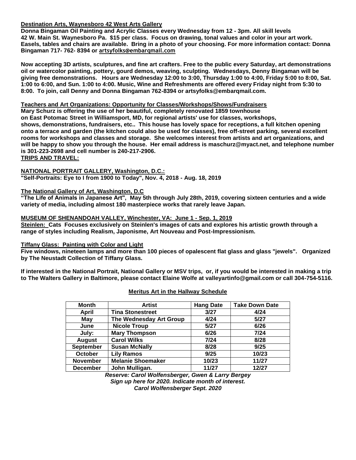# **Destination Arts, Waynesboro 42 West Arts Gallery**

**Donna Bingaman Oil Painting and Acrylic Classes every Wednesday from 12 - 3pm. All skill levels 42 W. Main St. Waynesboro Pa. \$15 per class. Focus on drawing, tonal values and color in your art work. Easels, tables and chairs are available. Bring in a photo of your choosing. For more information contact: Donna Bingaman 717- 762- 8394 or artsyfolks@embarqmail.com**

**Now accepting 3D artists, sculptures, and fine art crafters. Free to the public every Saturday, art demonstrations oil or watercolor painting, pottery, gourd demos, weaving, sculpting. Wednesdays, Denny Bingaman will be giving free demonstrations. Hours are Wednesday 12:00 to 3:00, Thursday 1:00 to 4:00, Friday 5:00 to 8:00, Sat. 1:00 to 6:00, and Sun. 1:00 to 4:00. Music, Wine and Refreshments are offered every Friday night from 5:30 to 8:00. To join, call Denny and Donna Bingaman 762-8394 or artsyfolks@embarqmail.com.** 

# **Teachers and Art Organizations: Opportunity for Classes/Workshops/Shows/Fundraisers**

**Mary Schurz is offering the use of her beautiful, completely renovated 1859 townhouse on East Potomac Street in Williamsport, MD, for regional artists' use for classes, workshops, shows, demonstrations, fundraisers, etc.. This house has lovely space for receptions, a full kitchen opening onto a terrace and garden (the kitchen could also be used for classes), free off-street parking, several excellent rooms for workshops and classes and storage. She welcomes interest from artists and art organizations, and will be happy to show you through the house. Her email address is maschurz@myact.net, and telephone number is 301-223-2698 and cell number is 240-217-2906. TRIPS AND TRAVEL:**

# **NATIONAL PORTRAIT GALLERY, Washington, D.C.: "Self-Portraits: Eye to I from 1900 to Today", Nov. 4, 2018 - Aug. 18, 2019**

# **The National Gallery of Art, Washington, D.C**

**"The Life of Animals in Japanese Art", May 5th through July 28th, 2019, covering sixteen centuries and a wide variety of media, including almost 180 masterpiece works that rarely leave Japan.**

# **MUSEUM OF SHENANDOAH VALLEY, Winchester, VA: June 1 - Sep. 1, 2019**

**Steinlen: Cats Focuses exclusively on Steinlen's images of cats and explores his artistic growth through a range of styles including Realism, Japonisme, Art Nouveau and Post-Impressionism.**

# **Tiffany Glass: Painting with Color and Light**

**Five windows, nineteen lamps and more than 100 pieces of opalescent flat glass and glass "jewels". Organized by The Neustadt Collection of Tiffany Glass.**

**If interested in the National Portrait, National Gallery or MSV trips, or, if you would be interested in making a trip to The Walters Gallery in Baltimore, please contact Elaine Wolfe at valleyartinfo@gmail.com or call 304-754-5116.**

| <b>Month</b>                                | <b>Artist</b>           | <b>Hang Date</b> | <b>Take Down Date</b> |
|---------------------------------------------|-------------------------|------------------|-----------------------|
| April                                       | <b>Tina Stonestreet</b> | 3/27             | 4/24                  |
| May                                         | The Wednesday Art Group | 4/24             | 5/27                  |
| June                                        | <b>Nicole Troup</b>     |                  | 6/26                  |
| July:                                       | <b>Mary Thompson</b>    |                  | 7/24                  |
| <b>August</b>                               | <b>Carol Wilks</b>      |                  | 8/28                  |
| <b>September</b>                            | <b>Susan McNally</b>    |                  | 9/25                  |
| <b>Lily Ramos</b><br><b>October</b>         |                         | 9/25             | 10/23                 |
| <b>Melanie Shoemaker</b><br><b>November</b> |                         | 10/23            | 11/27                 |
| John Mulligan.<br><b>December</b>           |                         | 11/27            | 12/27                 |

# **Meritus Art in the Hallway Schedule**

*Reserve: Carol Wolfensberger, Gwen & Larry Bergey Sign up here for 2020. Indicate month of interest. Carol Wolfensberger Sept. 2020*